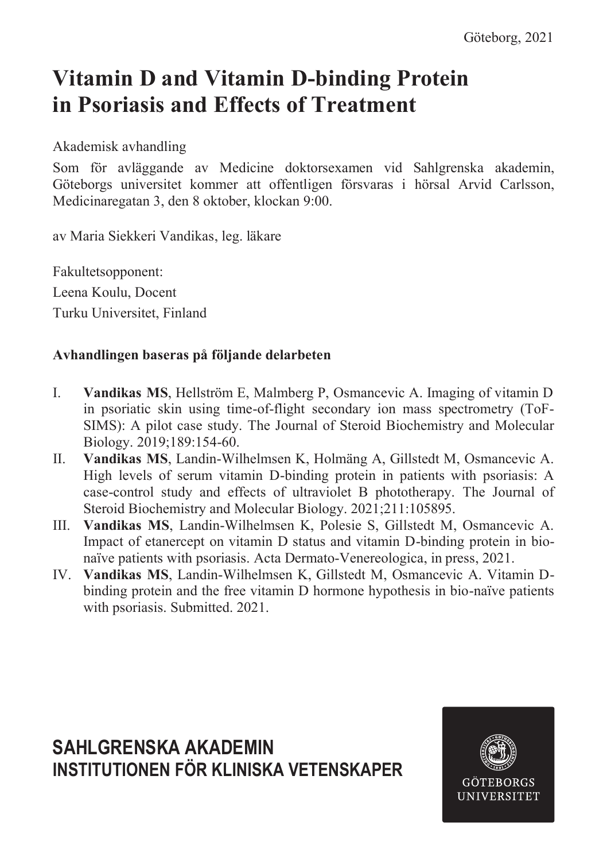# **Vitamin D and Vitamin D-binding Protein in Psoriasis and Effects of Treatment**

Akademisk avhandling

Som för avläggande av Medicine doktorsexamen vid Sahlgrenska akademin, Göteborgs universitet kommer att offentligen försvaras i hörsal Arvid Carlsson, Medicinaregatan 3, den 8 oktober, klockan 9:00.

av Maria Siekkeri Vandikas, leg. läkare

Fakultetsopponent: Leena Koulu, Docent Turku Universitet, Finland

### **Avhandlingen baseras på följande delarbeten**

- I. **Vandikas MS**, Hellström E, Malmberg P, Osmancevic A. Imaging of vitamin D in psoriatic skin using time-of-flight secondary ion mass spectrometry (ToF-SIMS): A pilot case study. The Journal of Steroid Biochemistry and Molecular Biology. 2019;189:154-60.
- II. **Vandikas MS**, Landin-Wilhelmsen K, Holmäng A, Gillstedt M, Osmancevic A. High levels of serum vitamin D-binding protein in patients with psoriasis: A case-control study and effects of ultraviolet B phototherapy. The Journal of Steroid Biochemistry and Molecular Biology. 2021;211:105895.
- III. **Vandikas MS**, Landin-Wilhelmsen K, Polesie S, Gillstedt M, Osmancevic A. Impact of etanercept on vitamin D status and vitamin D-binding protein in bionaïve patients with psoriasis. Acta Dermato-Venereologica, in press, 2021.
- IV. **Vandikas MS**, Landin-Wilhelmsen K, Gillstedt M, Osmancevic A. Vitamin Dbinding protein and the free vitamin D hormone hypothesis in bio-naïve patients with psoriasis. Submitted. 2021.

### **SAHLGRENSKA AKADEMIN INSTITUTIONEN FÖR KLINISKA VETENSKAPER**